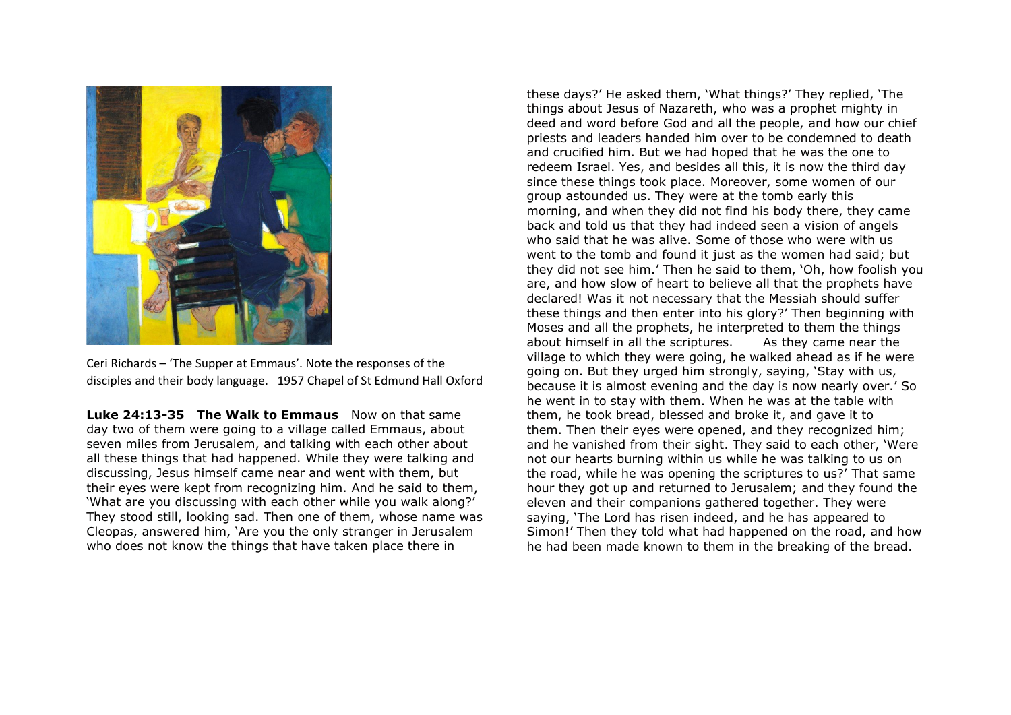

Ceri Richards – 'The Supper at Emmaus'. Note the responses of the disciples and their body language. 1957 Chapel of St Edmund Hall Oxford

**Luke 24:13-35 The Walk to Emmaus** Now on that same day two of them were going to a village called Emmaus, about seven miles from Jerusalem, and talking with each other about all these things that had happened. While they were talking and discussing, Jesus himself came near and went with them, but their eyes were kept from recognizing him. And he said to them, 'What are you discussing with each other while you walk along?' They stood still, looking sad. Then one of them, whose name was Cleopas, answered him, 'Are you the only stranger in Jerusalem who does not know the things that have taken place there in

these days?' He asked them, 'What things?' They replied, 'The things about Jesus of Nazareth, who was a prophet mighty in deed and word before God and all the people, and how our chief priests and leaders handed him over to be condemned to death and crucified him. But we had hoped that he was the one to redeem Israel. Yes, and besides all this, it is now the third day since these things took place. Moreover, some women of our group astounded us. They were at the tomb early this morning, and when they did not find his body there, they came back and told us that they had indeed seen a vision of angels who said that he was alive. Some of those who were with us went to the tomb and found it just as the women had said; but they did not see him.' Then he said to them, 'Oh, how foolish you are, and how slow of heart to believe all that the prophets have declared! Was it not necessary that the Messiah should suffer these things and then enter into his glory?' Then beginning with Moses and all the prophets, he interpreted to them the things about himself in all the scriptures. As they came near the village to which they were going, he walked ahead as if he were going on. But they urged him strongly, saying, 'Stay with us, because it is almost evening and the day is now nearly over.' So he went in to stay with them. When he was at the table with them, he took bread, blessed and broke it, and gave it to them. Then their eyes were opened, and they recognized him; and he vanished from their sight. They said to each other, 'Were not our hearts burning within us while he was talking to us on the road, while he was opening the scriptures to us?' That same hour they got up and returned to Jerusalem; and they found the eleven and their companions gathered together. They were saying, 'The Lord has risen indeed, and he has appeared to Simon!' Then they told what had happened on the road, and how he had been made known to them in the breaking of the bread.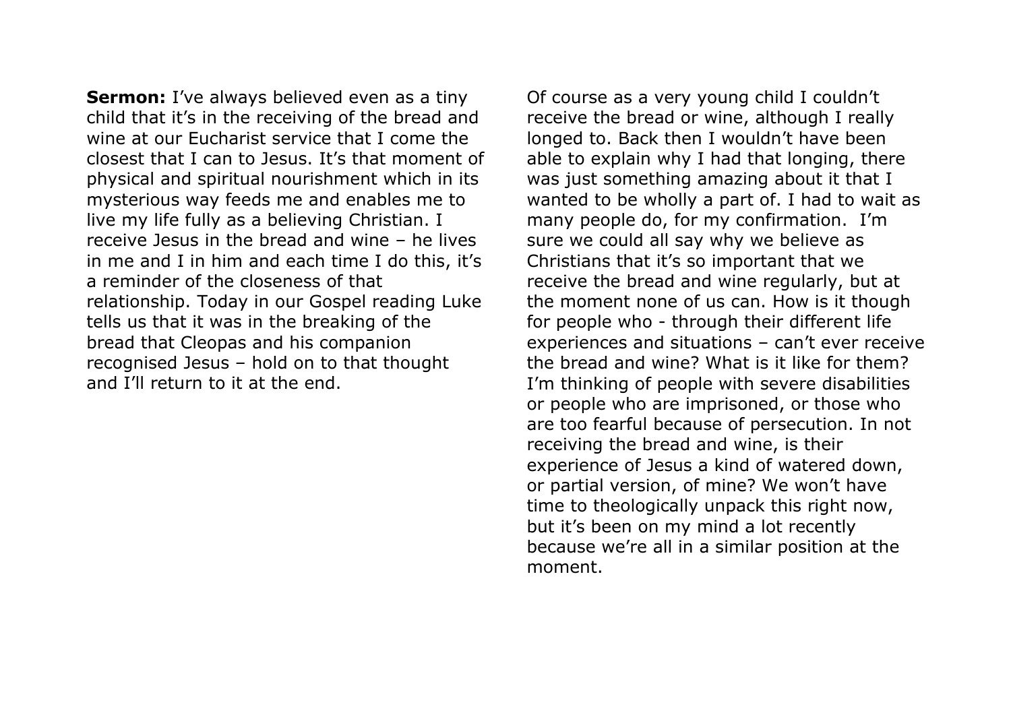**Sermon:** I've always believed even as a tiny child that it's in the receiving of the bread and wine at our Eucharist service that I come the closest that I can to Jesus. It's that moment of physical and spiritual nourishment which in its mysterious way feeds me and enables me to live my life fully as a believing Christian. I receive Jesus in the bread and wine – he lives in me and I in him and each time I do this, it's a reminder of the closeness of that relationship. Today in our Gospel reading Luke tells us that it was in the breaking of the bread that Cleopas and his companion recognised Jesus – hold on to that thought and I'll return to it at the end.

Of course as a very young child I couldn't receive the bread or wine, although I really longed to. Back then I wouldn't have been able to explain why I had that longing, there was just something amazing about it that I wanted to be wholly a part of. I had to wait as many people do, for my confirmation. I'm sure we could all say why we believe as Christians that it's so important that we receive the bread and wine regularly, but at the moment none of us can. How is it though for people who - through their different life experiences and situations – can't ever receive the bread and wine? What is it like for them? I'm thinking of people with severe disabilities or people who are imprisoned, or those who are too fearful because of persecution. In not receiving the bread and wine, is their experience of Jesus a kind of watered down, or partial version, of mine? We won't have time to theologically unpack this right now, but it's been on my mind a lot recently because we're all in a similar position at the moment.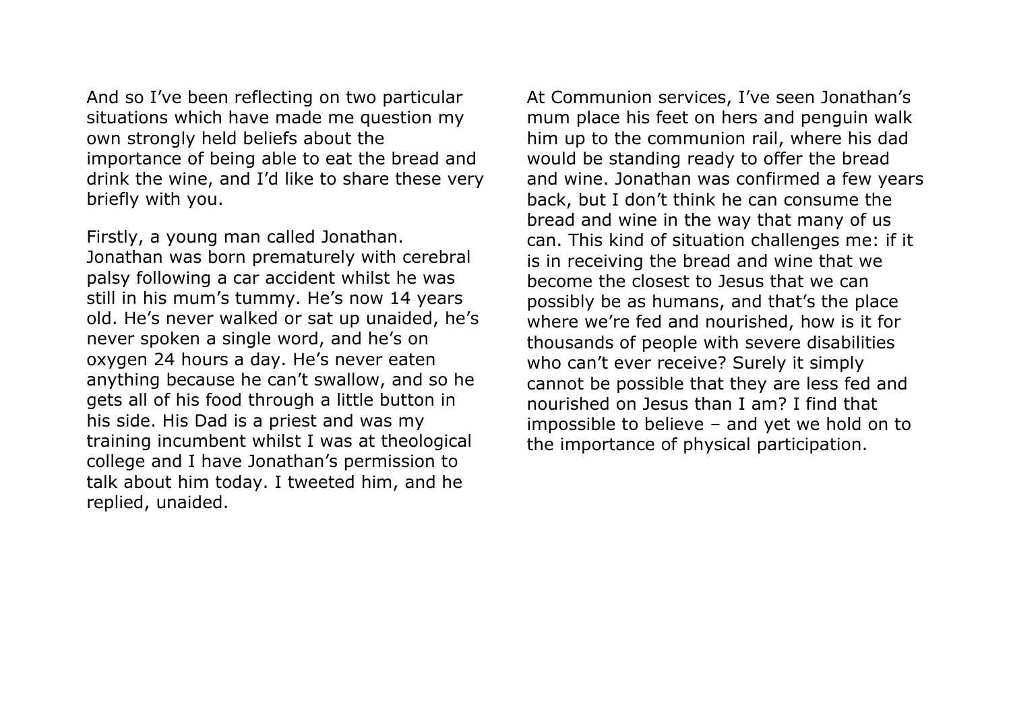And so I've been reflecting on two particular situations which have made me question my own strongly held beliefs about the importance of being able to eat the bread and drink the wine, and I'd like to share these very briefly with you.

Firstly, a young man called Jonathan. Jonathan was born prematurely with cerebral palsy following a car accident whilst he was still in his mum's tummy. He's now 14 years old. He's never walked or sat up unaided, he's never spoken a single word, and he's on oxygen 24 hours a day. He's never eaten anything because he can't swallow, and so he gets all of his food through a little button in his side. His Dad is a priest and was my training incumbent whilst I was at theological college and I have Jonathan's permission to talk about him today. I tweeted him, and he replied, unaided.

At Communion services, I've seen Jonathan's mum place his feet on hers and penguin walk him up to the communion rail, where his dad would be standing ready to offer the bread and wine. Jonathan was confirmed a few years back, but I don't think he can consume the bread and wine in the way that many of us can. This kind of situation challenges me: if it is in receiving the bread and wine that we become the closest to Jesus that we can possibly be as humans, and that's the place where we're fed and nourished, how is it for thousands of people with severe disabilities who can't ever receive? Surely it simply cannot be possible that they are less fed and nourished on Jesus than I am? I find that impossible to believe – and yet we hold on to the importance of physical participation.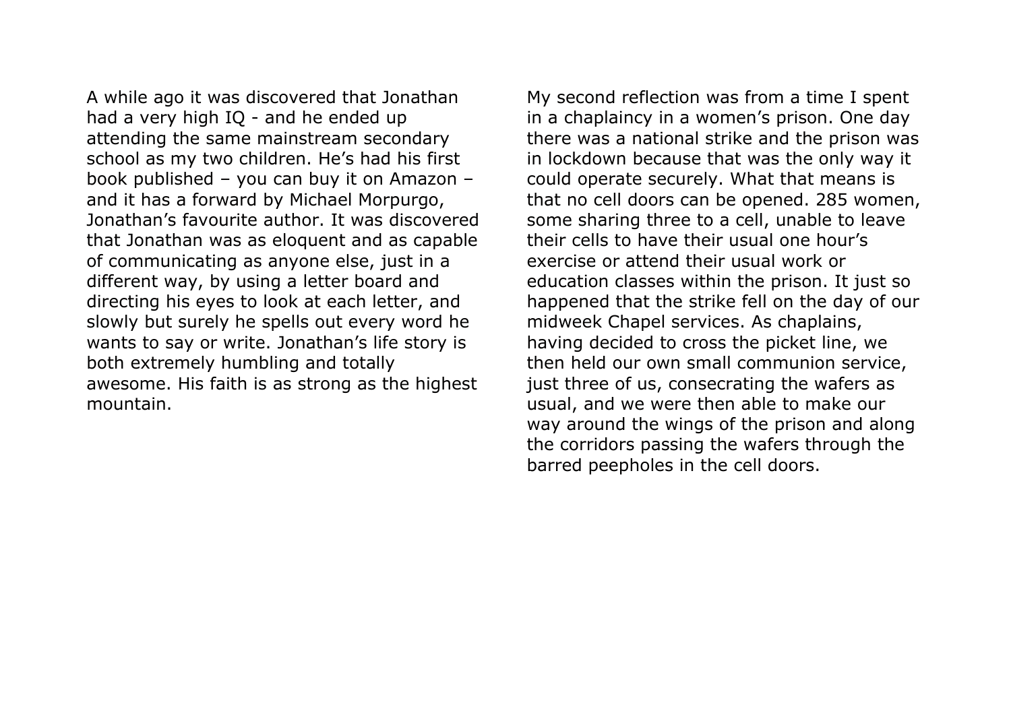A while ago it was discovered that Jonathan had a very high IQ - and he ended up attending the same mainstream secondary school as my two children. He's had his first book published – you can buy it on Amazon – and it has a forward by Michael Morpurgo, Jonathan's favourite author. It was discovered that Jonathan was as eloquent and as capable of communicating as anyone else, just in a different way, by using a letter board and directing his eyes to look at each letter, and slowly but surely he spells out every word he wants to say or write. Jonathan's life story is both extremely humbling and totally awesome. His faith is as strong as the highest mountain.

My second reflection was from a time I spent in a chaplaincy in a women's prison. One day there was a national strike and the prison was in lockdown because that was the only way it could operate securely. What that means is that no cell doors can be opened. 285 women, some sharing three to a cell, unable to leave their cells to have their usual one hour's exercise or attend their usual work or education classes within the prison. It just so happened that the strike fell on the day of our midweek Chapel services. As chaplains, having decided to cross the picket line, we then held our own small communion service, just three of us, consecrating the wafers as usual, and we were then able to make our way around the wings of the prison and along the corridors passing the wafers through the barred peepholes in the cell doors.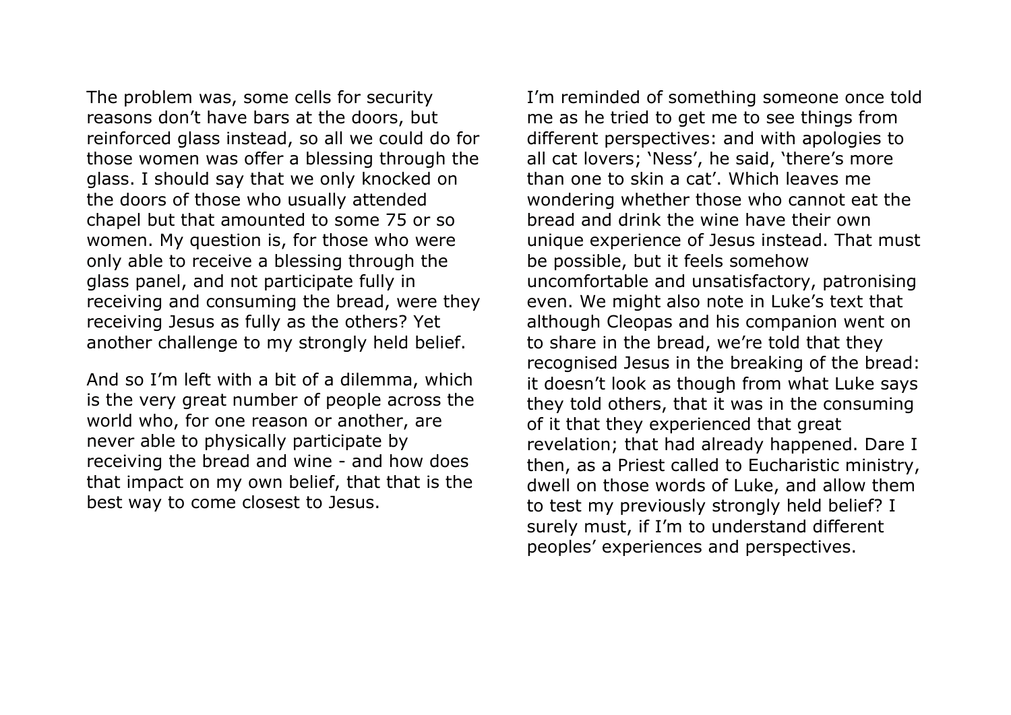The problem was, some cells for security reasons don't have bars at the doors, but reinforced glass instead, so all we could do for those women was offer a blessing through the glass. I should say that we only knocked on the doors of those who usually attended chapel but that amounted to some 75 or so women. My question is, for those who were only able to receive a blessing through the glass panel, and not participate fully in receiving and consuming the bread, were they receiving Jesus as fully as the others? Yet another challenge to my strongly held belief.

And so I'm left with a bit of a dilemma, which is the very great number of people across the world who, for one reason or another, are never able to physically participate by receiving the bread and wine - and how does that impact on my own belief, that that is the best way to come closest to Jesus.

I'm reminded of something someone once told me as he tried to get me to see things from different perspectives: and with apologies to all cat lovers; 'Ness', he said, 'there's more than one to skin a cat'. Which leaves me wondering whether those who cannot eat the bread and drink the wine have their own unique experience of Jesus instead. That must be possible, but it feels somehow uncomfortable and unsatisfactory, patronising even. We might also note in Luke's text that although Cleopas and his companion went on to share in the bread, we're told that they recognised Jesus in the breaking of the bread: it doesn't look as though from what Luke says they told others, that it was in the consuming of it that they experienced that great revelation; that had already happened. Dare I then, as a Priest called to Eucharistic ministry, dwell on those words of Luke, and allow them to test my previously strongly held belief? I surely must, if I'm to understand different peoples' experiences and perspectives.